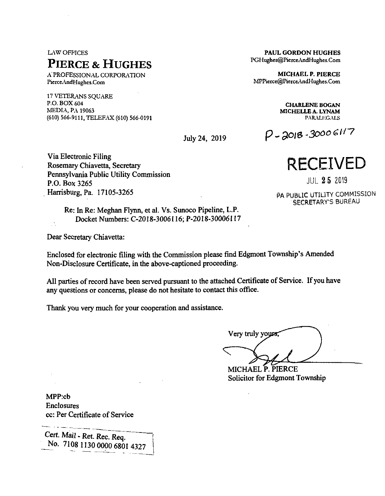# LAW OFFICES **Pierce & Hughes**

A'PROFESSIONAL CORPORATION PierceAndHughes.Com

17 VETERANS SQUARE P.O. BOX 604 **CHARLENE BOGAN** MEDIA, PA 19063 **MICHELLE A. LYNAM** (610) 566-9111, TELEFAX (610) 566-0191 PARALEGALS

Via Electronic Filing Rosemary Chiavetta, Secretary Pennsylvania Public Utility Commission P.O. Box 3265 Harrisburg, Pa. 17105-3265

> Re: In Re: Meghan Flynn, et al. Vs. Sunoco Pipeline, L.P. Docket Numbers: C-20I8-3006116; P-2018-30006117

Dear Secretary Chiavetta:

Enclosed for electronic filing with the Commission please find Edgmont Township's Amended Non-Disclosure Certificate, in the above-captioned proceeding.

All parties of record have been served pursuant to the attached Certificate of Service. If you have any questions or concerns, please do not hesitate to contact this office.

Thank you very much for your cooperation and assistance.

Very truly yours;

MICHAEL P. PIERCE Solicitor for Edgmont Township

MPP:cb Enclosures cc: Per Certificate of Service

Cert. Mail - Ret. Rec. Req. No. 7108 1130 0000 6801 4327

**PAUL GORDON HUGHES** PGHughes@PierceAndHughes.Com

**MICHAEL P. PIERCE** MPPierce@PierceAndHughes.Com

July 24, 2019  $P - 3018 - 30006117$ 



JUL **2 5** 2019

PA PUBLIC UTILITY COMMISSION SECRETARY'S BUREAU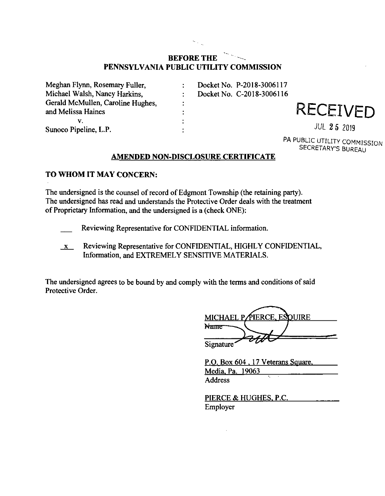# **BEFORE THE - PENNSYLVANIA PUBLIC UTILITY COMMISSION**

Meghan Flynn, Rosemary Fuller,  $\ddot{\cdot}$ Michael Walsh, Nancy Harkins,  $\ddot{\cdot}$ Gerald McMullen, Caroline Hughes,  $\ddot{\cdot}$ and Melissa Haines  $\ddot{\cdot}$ v.  $\ddot{\cdot}$ Sunoco Pipeline, L.P.  $\ddot{\cdot}$ 

Docket No. P-2018-3006117 Docket No. C-2018-3006116

**RECEIVED** 

JUL **2** 5 2019

PA PUBLIC UTILITY COMMISSION SECRETARY'S BUREAU

## **AMENDED NON-DISCLOSURE CERTIFICATE**

### **TO WHOM IT MAY CONCERN:**

The undersigned is the counsel of record of Edgmont Township (the retaining party). The undersigned has read and understands the Protective Order deals with the treatment of Proprietary Information, and the undersigned is a (check ONE):

- Reviewing Representative for CONFIDENTIAL information.
- $x$  Reviewing Representative for CONFIDENTIAL, HIGHLY CONFIDENTIAL, Information, and EXTREMELY SENSITIVE MATERIALS.

The undersigned agrees to be bound by and comply with the terms and conditions of said Protective Order.

|                        | MICHAEL PAIERCE, ESQUIRE |  |
|------------------------|--------------------------|--|
| Name                   |                          |  |
| Signature <sup>-</sup> |                          |  |

| P.O. Box 604, 17 Veterans Square, |  |  |  |
|-----------------------------------|--|--|--|
| Media, Pa. 19063                  |  |  |  |
| Address                           |  |  |  |

| PIERCE & HUGHES, P.C. |  |
|-----------------------|--|
| Employer              |  |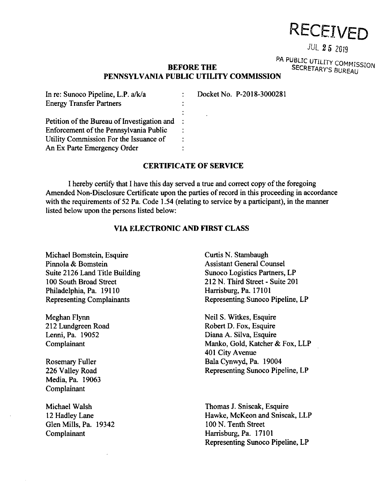# RECEIVED

# **JUL 25 2019**

PA PUBLIC UTILITY COMMISSION SECRETARV'S BUREAU

### **BEFORE THE PENNSYLVANIA PUBLIC UTILITY COMMISSION**

In re: Sunoco Pipeline, L.P. a/k/a Docket No. P-2018-3000281  $\overline{1}$ Energy Transfer Partners  $\ddot{\cdot}$ ÷ Petition of the Bureau of Investigation and  $\overline{1}$ Enforcement of the Pennsylvania Public Utility Commission For the Issuance of An Ex Parte Emergency Order  $\bullet$ 

#### **CERTIFICATE OF SERVICE**

I hereby certify that I have this day served a true and correct copy ofthe foregoing Amended Non-Disclosure Certificate upon the parties of record in this proceeding in accordance with the requirements of 52 Pa. Code 1.54 (relating to service by a participant), in the manner listed below upon the persons listed below:

### **VIA ELECTRONIC AND FIRST CLASS**

Michael Bomstein, Esquire Pinnola & Bomstein Suite 2126 Land Title Building 100 South Broad Street Philadelphia, Pa. 19110 Representing Complainants

Meghan Flynn 212 Lundgreen Road Lenni, Pa. 19052 Complainant

Rosemary Fuller 226 Valley Road Media, Pa. 19063 Complainant

Michael Walsh 12 Hadley Lane Glen Mills, Pa. 19342 Complainant

Curtis N. Stambaugh Assistant General Counsel Sunoco Logistics Partners, LP 212 N. Third Street - Suite 201 Harrisburg, Pa. 17101 Representing Sunoco Pipeline, LP

Neil S. Witkes, Esquire Robert D. Fox, Esquire Diana A. Silva, Esquire Manko, Gold, Katcher & Fox, LLP 401 City Avenue Bala Cynwyd, Pa. 19004 Representing Sunoco Pipeline, LP

Thomas J. Sniscak, Esquire Hawke, McKeon and Sniscak, LLP 100 N. Tenth Street Harrisburg, Pa. 17101 Representing Sunoco Pipeline, LP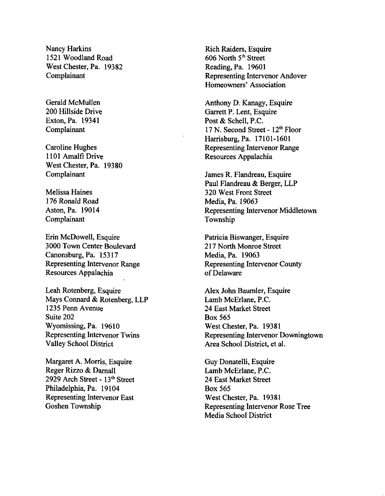Nancy Harkins 1521 Woodland Road West Chester, Pa. 19382 Complainant

Gerald McMullen 200 Hillside Drive Exton, Pa. 19341 Complainant

Caroline Hughes 1101 Amalfi Drive West Chester, Pa. 19380 Complainant

Melissa Haines 176 Ronald Road Aston, Pa. 19014 Complainant

Erin McDowell, Esquire 3000 Town Center Boulevard Canonsburg, Pa. 15317 Representing Intervenor Range Resources Appalachia

Leah Rotenberg, Esquire Mays Connard & Rotenberg, LLP 1235 Penn Avenue Suite 202 Wyomissing, Pa. 19610 Representing Intervenor Twins Valley School District

Margaret A. Morris, Esquire Reger Rizzo & Damall 2929 Arch Street - 13th Street Philadelphia, Pa. 19104 Representing Intervenor East Goshen Township

Rich Raiders, Esquire 606 North 5<sup>th</sup> Street Reading, Pa. 19601 Representing Intervenor Andover Homeowners' Association

Anthony D. Kanagy, Esquire Garrett P. Lent, Esquire Post & Schell, P.C. 17 N. Second Street - 12<sup>th</sup> Floor Harrisburg, Pa. 17101-1601 Representing Intervenor Range Resources Appalachia

James R. Flandreau, Esquire Paul Flandreau & Berger, LLP 320 West Front Street Media, Pa. *19063* Representing Intervenor Middletown Township

Patricia Biswanger, Esquire 217 North Monroe Street Media, Pa. 19063 Representing Intervenor County of Delaware

Alex John Baumler, Esquire Lamb McErlane, P.C. 24 East Market Street Box 565 West Chester, Pa. 19381 Representing Intervenor Downingtown Area School District, et al.

Guy Donatelli, Esquire Lamb McErlane, P.C. 24 East Market Street Box 565 West Chester, Pa. 19381 Representing Intervenor Rose Tree Media School District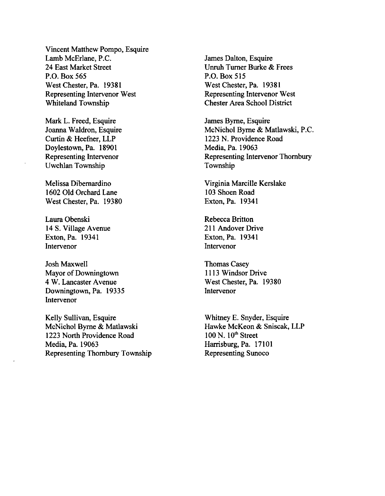Vincent Matthew Pompo, Esquire Lamb McErlane, P.C. 24 East Market Street P.O. Box 565 West Chester, Pa. 19381 Representing Intervenor West Whiteland Township

Mark L. Freed, Esquire Joanna Waldron, Esquire Curtin & Heefher, LLP Doylestown, Pa. 18901 Representing Intervenor Uwchlan Township

Melissa Dibemardino 1602 Old Orchard Lane West Chester, Pa. 19380

Laura Obenski 14 S. Village Avenue Exton, Pa. 19341 Intervenor

Josh Maxwell Mayor of Downingtown 4 W. Lancaster Avenue Downingtown, Pa. 19335 Intervenor

Kelly Sullivan, Esquire McNichol Byrne & Matlawski 1223 North Providence Road Media, Pa. 19063 Representing Thombury Township James Dalton, Esquire Unruh Turner Burke & Frees P.O. Box 515 West Chester, Pa. 19381 Representing Intervenor West Chester Area School District

James Byrne, Esquire McNichol Byrne & Matlawski, P.C. 1223 N. Providence Road Media, Pa. 19063 Representing Intervenor Thombury Township

Virginia Marcille Kerslake 103 Shoen Road Exton, Pa. 19341

Rebecca Britton 211 Andover Drive Exton, Pa. 19341 Intervenor

Thomas Casey 1113 Windsor Drive West Chester, Pa. 19380 Intervenor

Whitney E. Snyder, Esquire Hawke McKeon & Sniscak, LLP  $100$  N.  $10<sup>th</sup>$  Street Harrisburg, Pa. 17101 Representing Sunoco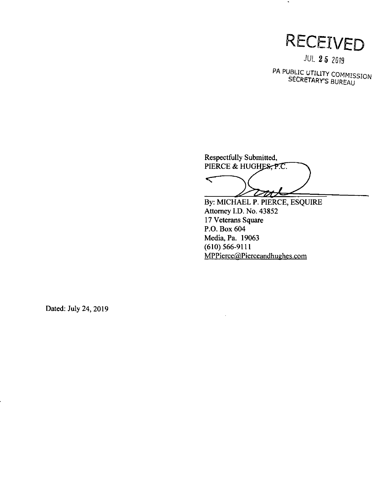

 $\bullet$ 

JUL *2 5* 2019

PA PUBLIC UTILITY COMMISSION SECRETARY'S BURFAU

Respectfully Submitted, PIERCE & HUGHES, P.C.

 $\subset$ <u>Dut</u>

By: MICHAEL P. PIERCE, ESQUIRE Attorney I.D. No. 43852 17 Veterans Square P.O. Box 604 Media, Pa. 19063 (610) 566-9111 MPPierce@.Pierceandhughes.com

Dated: July 24, 2019